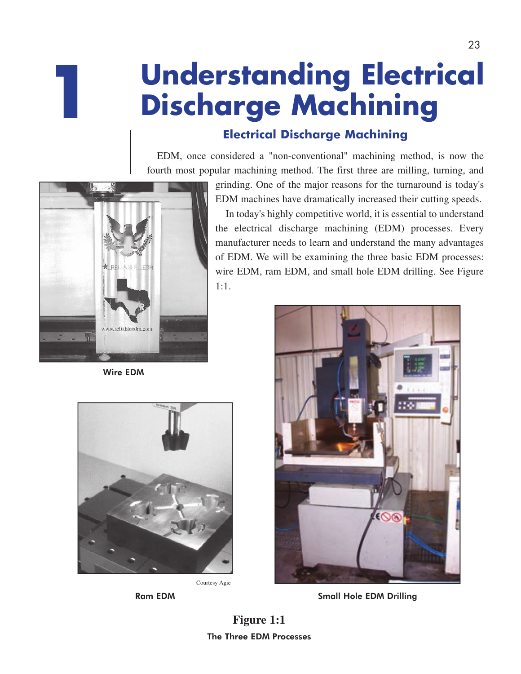# **Understanding Electrical Discharge Machining**

# **Electrical Discharge Machining**

EDM, once considered a "non-conventional" machining method, is now the fourth most popular machining method. The first three are milling, turning, and



**1**

grinding. One of the major reasons for the turnaround is today's EDM machines have dramatically increased their cutting speeds. In today's highly competitive world, it is essential to understand

the electrical discharge machining (EDM) processes. Every manufacturer needs to learn and understand the many advantages of EDM. We will be examining the three basic EDM processes: wire EDM, ram EDM, and small hole EDM drilling. See Figure 1:1.

Wire EDM



Courtesy Agie



Ram EDM Small Hole EDM Drilling

**Figure 1:1** The Three EDM Processes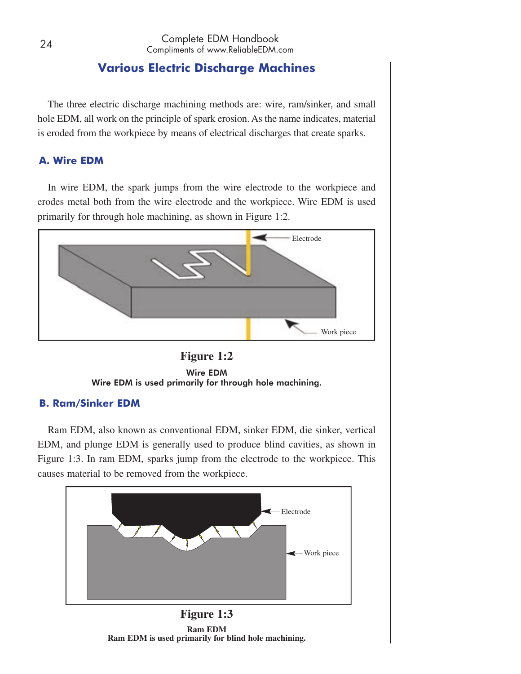## **Various Electric Discharge Machines**

The three electric discharge machining methods are: wire, ram/sinker, and small hole EDM, all work on the principle of spark erosion. As the name indicates, material is eroded from the workpiece by means of electrical discharges that create sparks.

## **A. Wire EDM**

In wire EDM, the spark jumps from the wire electrode to the workpiece and erodes metal both from the wire electrode and the workpiece. Wire EDM is used primarily for through hole machining, as shown in Figure 1:2.





#### **B. Ram/Sinker EDM**

Ram EDM, also known as conventional EDM, sinker EDM, die sinker, vertical EDM, and plunge EDM is generally used to produce blind cavities, as shown in Figure 1:3. In ram EDM, sparks jump from the electrode to the workpiece. This causes material to be removed from the workpiece.



**Ram EDM Ram EDM is used primarily for blind hole machining.**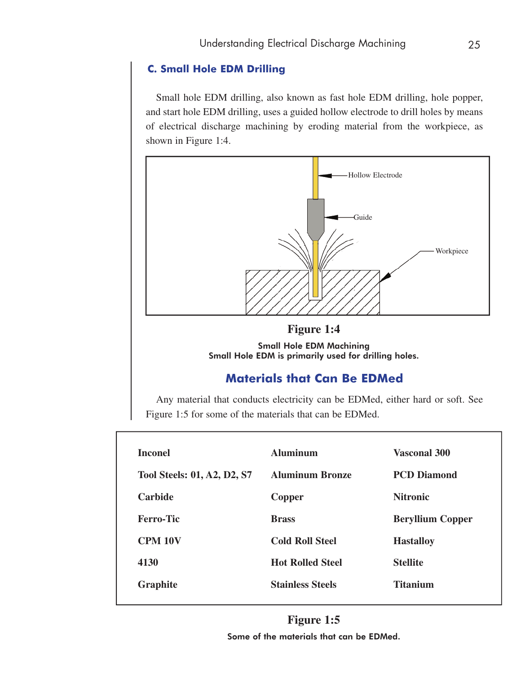## **C. Small Hole EDM Drilling**

Small hole EDM drilling, also known as fast hole EDM drilling, hole popper, and start hole EDM drilling, uses a guided hollow electrode to drill holes by means of electrical discharge machining by eroding material from the workpiece, as shown in Figure 1:4.





# **Materials that Can Be EDMed**

Any material that conducts electricity can be EDMed, either hard or soft. See Figure 1:5 for some of the materials that can be EDMed.

| <b>Inconel</b>                     | <b>Aluminum</b>         | <b>Vasconal 300</b>     |
|------------------------------------|-------------------------|-------------------------|
| <b>Tool Steels: 01, A2, D2, S7</b> | <b>Aluminum Bronze</b>  | <b>PCD Diamond</b>      |
| <b>Carbide</b>                     | Copper                  | <b>Nitronic</b>         |
| <b>Ferro-Tic</b>                   | <b>Brass</b>            | <b>Beryllium Copper</b> |
| <b>CPM 10V</b>                     | <b>Cold Roll Steel</b>  | <b>Hastalloy</b>        |
| 4130                               | <b>Hot Rolled Steel</b> | <b>Stellite</b>         |
| <b>Graphite</b>                    | <b>Stainless Steels</b> | <b>Titanium</b>         |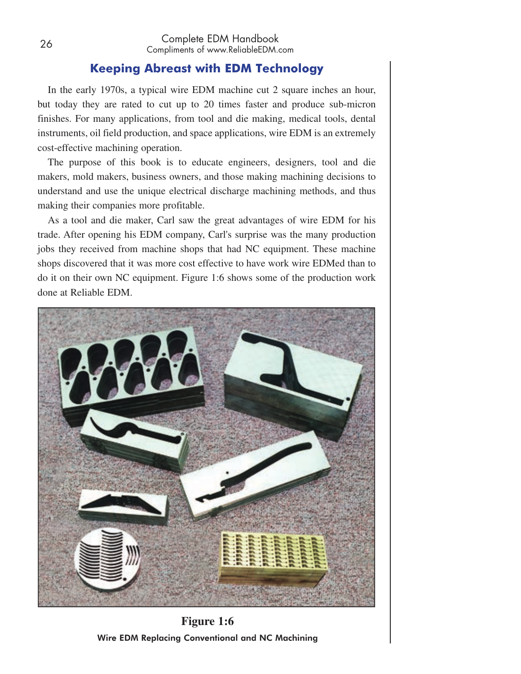## **Keeping Abreast with EDM Technology**

In the early 1970s, a typical wire EDM machine cut 2 square inches an hour, but today they are rated to cut up to 20 times faster and produce sub-micron finishes. For many applications, from tool and die making, medical tools, dental instruments, oil field production, and space applications, wire EDM is an extremely cost-effective machining operation.

The purpose of this book is to educate engineers, designers, tool and die makers, mold makers, business owners, and those making machining decisions to understand and use the unique electrical discharge machining methods, and thus making their companies more profitable.

As a tool and die maker, Carl saw the great advantages of wire EDM for his trade. After opening his EDM company, Carl's surprise was the many production jobs they received from machine shops that had NC equipment. These machine shops discovered that it was more cost effective to have work wire EDMed than to do it on their own NC equipment. Figure 1:6 shows some of the production work done at Reliable EDM.



**Figure 1:6** Wire EDM Replacing Conventional and NC Machining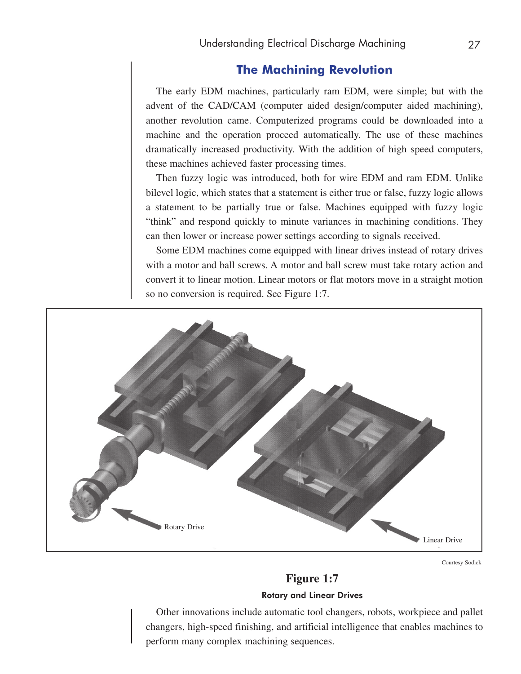## **The Machining Revolution**

The early EDM machines, particularly ram EDM, were simple; but with the advent of the CAD/CAM (computer aided design/computer aided machining), another revolution came. Computerized programs could be downloaded into a machine and the operation proceed automatically. The use of these machines dramatically increased productivity. With the addition of high speed computers, these machines achieved faster processing times.

Then fuzzy logic was introduced, both for wire EDM and ram EDM. Unlike bilevel logic, which states that a statement is either true or false, fuzzy logic allows a statement to be partially true or false. Machines equipped with fuzzy logic "think" and respond quickly to minute variances in machining conditions. They can then lower or increase power settings according to signals received.

Some EDM machines come equipped with linear drives instead of rotary drives with a motor and ball screws. A motor and ball screw must take rotary action and convert it to linear motion. Linear motors or flat motors move in a straight motion so no conversion is required. See Figure 1:7.



Courtesy Sodick

# **Figure 1:7** Rotary and Linear Drives

Other innovations include automatic tool changers, robots, workpiece and pallet changers, high-speed finishing, and artificial intelligence that enables machines to perform many complex machining sequences.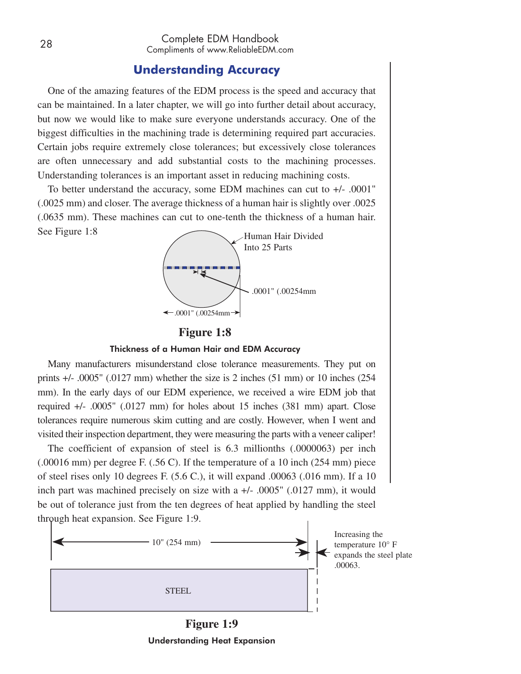## **Understanding Accuracy**

One of the amazing features of the EDM process is the speed and accuracy that can be maintained. In a later chapter, we will go into further detail about accuracy, but now we would like to make sure everyone understands accuracy. One of the biggest difficulties in the machining trade is determining required part accuracies. Certain jobs require extremely close tolerances; but excessively close tolerances are often unnecessary and add substantial costs to the machining processes. Understanding tolerances is an important asset in reducing machining costs.

To better understand the accuracy, some EDM machines can cut to +/- .0001" (.0025 mm) and closer. The average thickness of a human hair is slightly over .0025 (.0635 mm). These machines can cut to one-tenth the thickness of a human hair. See Figure 1:8



#### **Figure 1:8**

#### Thickness of a Human Hair and EDM Accuracy

Many manufacturers misunderstand close tolerance measurements. They put on prints +/- .0005" (.0127 mm) whether the size is 2 inches (51 mm) or 10 inches (254 mm). In the early days of our EDM experience, we received a wire EDM job that required +/- .0005" (.0127 mm) for holes about 15 inches (381 mm) apart. Close tolerances require numerous skim cutting and are costly. However, when I went and visited their inspection department, they were measuring the parts with a veneer caliper!

The coefficient of expansion of steel is 6.3 millionths (.0000063) per inch (.00016 mm) per degree F. (.56 C). If the temperature of a 10 inch (254 mm) piece of steel rises only 10 degrees F. (5.6 C.), it will expand .00063 (.016 mm). If a 10 inch part was machined precisely on size with a +/- .0005" (.0127 mm), it would be out of tolerance just from the ten degrees of heat applied by handling the steel through heat expansion. See Figure 1:9.



**Figure 1:9** Understanding Heat Expansion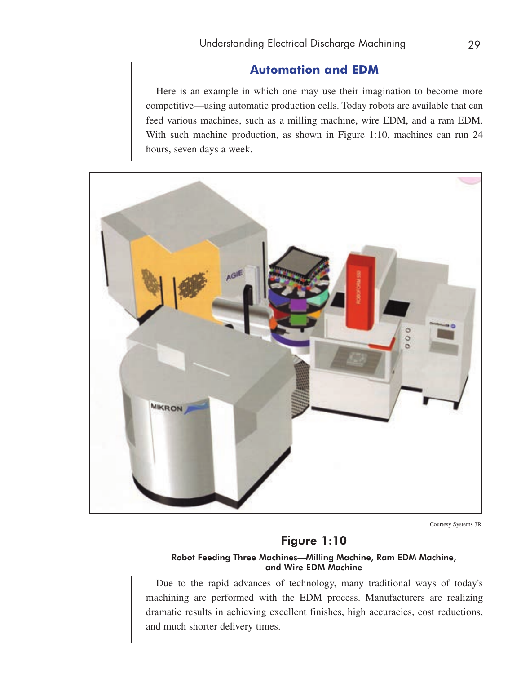# **Automation and EDM**

Here is an example in which one may use their imagination to become more competitive—using automatic production cells. Today robots are available that can feed various machines, such as a milling machine, wire EDM, and a ram EDM. With such machine production, as shown in Figure 1:10, machines can run 24 hours, seven days a week.



Courtesy Systems 3R

# Figure 1:10

#### Robot Feeding Three Machines—Milling Machine, Ram EDM Machine, and Wire EDM Machine

Due to the rapid advances of technology, many traditional ways of today's machining are performed with the EDM process. Manufacturers are realizing dramatic results in achieving excellent finishes, high accuracies, cost reductions, and much shorter delivery times.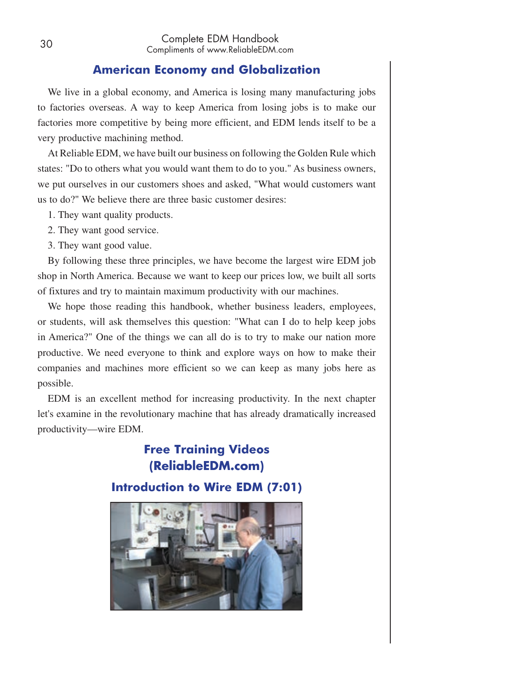## **American Economy and Globalization**

We live in a global economy, and America is losing many manufacturing jobs to factories overseas. A way to keep America from losing jobs is to make our factories more competitive by being more efficient, and EDM lends itself to be a very productive machining method.

At Reliable EDM, we have built our business on following the Golden Rule which states: "Do to others what you would want them to do to you." As business owners, we put ourselves in our customers shoes and asked, "What would customers want us to do?" We believe there are three basic customer desires:

- 1. They want quality products.
- 2. They want good service.
- 3. They want good value.

By following these three principles, we have become the largest wire EDM job shop in North America. Because we want to keep our prices low, we built all sorts of fixtures and try to maintain maximum productivity with our machines.

We hope those reading this handbook, whether business leaders, employees, or students, will ask themselves this question: "What can I do to help keep jobs in America?" One of the things we can all do is to try to make our nation more productive. We need everyone to think and explore ways on how to make their companies and machines more efficient so we can keep as many jobs here as possible.

EDM is an excellent method for increasing productivity. In the next chapter let's examine in the revolutionary machine that has already dramatically increased productivity—wire EDM.

# **Free Training Videos (ReliableEDM.com)**

**Introduction to Wire EDM (7:01)**